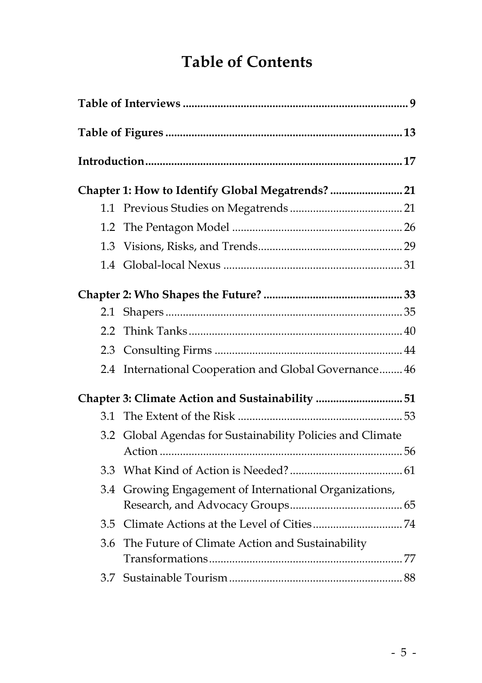## **Table of Contents**

|     | Chapter 1: How to Identify Global Megatrends?  21          |  |  |  |
|-----|------------------------------------------------------------|--|--|--|
|     |                                                            |  |  |  |
| 1.2 |                                                            |  |  |  |
| 1.3 |                                                            |  |  |  |
|     |                                                            |  |  |  |
|     |                                                            |  |  |  |
| 2.1 |                                                            |  |  |  |
| 2.2 |                                                            |  |  |  |
| 2.3 |                                                            |  |  |  |
| 2.4 | International Cooperation and Global Governance 46         |  |  |  |
|     | Chapter 3: Climate Action and Sustainability 51            |  |  |  |
| 3.1 |                                                            |  |  |  |
|     | 3.2 Global Agendas for Sustainability Policies and Climate |  |  |  |
|     |                                                            |  |  |  |
| 3.3 |                                                            |  |  |  |
| 3.4 | Growing Engagement of International Organizations,         |  |  |  |
| 3.5 |                                                            |  |  |  |
| 3.6 | The Future of Climate Action and Sustainability            |  |  |  |
|     |                                                            |  |  |  |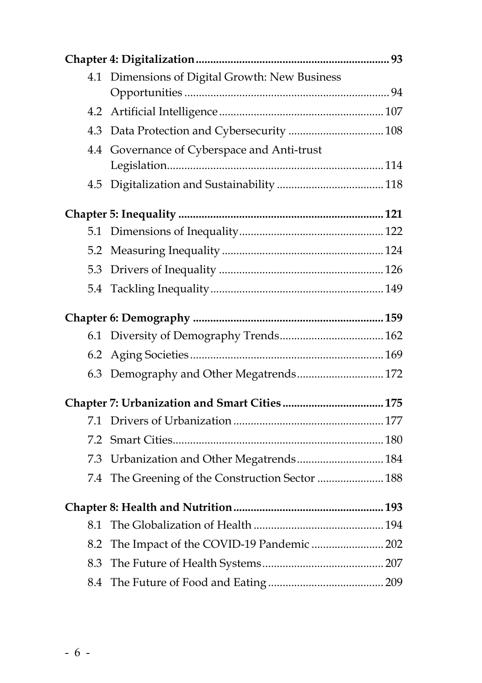| 4.1 | Dimensions of Digital Growth: New Business   |  |
|-----|----------------------------------------------|--|
|     |                                              |  |
| 4.2 |                                              |  |
| 4.3 |                                              |  |
| 4.4 | Governance of Cyberspace and Anti-trust      |  |
|     |                                              |  |
| 4.5 |                                              |  |
|     |                                              |  |
| 5.1 |                                              |  |
| 5.2 |                                              |  |
| 5.3 |                                              |  |
|     |                                              |  |
|     |                                              |  |
| 6.1 |                                              |  |
| 6.2 |                                              |  |
|     | 6.3 Demography and Other Megatrends 172      |  |
|     |                                              |  |
| 7.1 |                                              |  |
| 7.2 |                                              |  |
| 7.3 | Urbanization and Other Megatrends 184        |  |
| 7.4 | The Greening of the Construction Sector  188 |  |
|     |                                              |  |
| 8.1 |                                              |  |
| 8.2 | The Impact of the COVID-19 Pandemic  202     |  |
| 8.3 |                                              |  |
| 8.4 |                                              |  |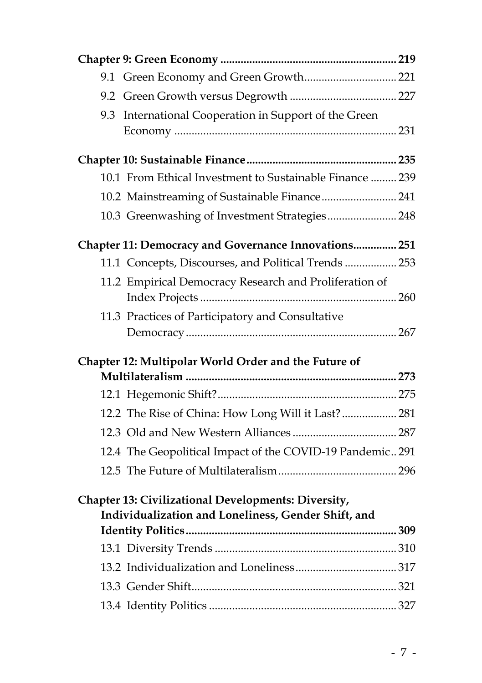| International Cooperation in Support of the Green<br>9.3  |  |
|-----------------------------------------------------------|--|
|                                                           |  |
|                                                           |  |
| 10.1 From Ethical Investment to Sustainable Finance  239  |  |
| 10.2 Mainstreaming of Sustainable Finance 241             |  |
| 10.3 Greenwashing of Investment Strategies 248            |  |
| Chapter 11: Democracy and Governance Innovations 251      |  |
| 11.1 Concepts, Discourses, and Political Trends  253      |  |
| 11.2 Empirical Democracy Research and Proliferation of    |  |
| 11.3 Practices of Participatory and Consultative          |  |
|                                                           |  |
| Chapter 12: Multipolar World Order and the Future of      |  |
|                                                           |  |
|                                                           |  |
| 12.2 The Rise of China: How Long Will it Last? 281        |  |
|                                                           |  |
| 12.4 The Geopolitical Impact of the COVID-19 Pandemic 291 |  |
|                                                           |  |
| Chapter 13: Civilizational Developments: Diversity,       |  |
| Individualization and Loneliness, Gender Shift, and       |  |
|                                                           |  |
|                                                           |  |
|                                                           |  |
|                                                           |  |
|                                                           |  |